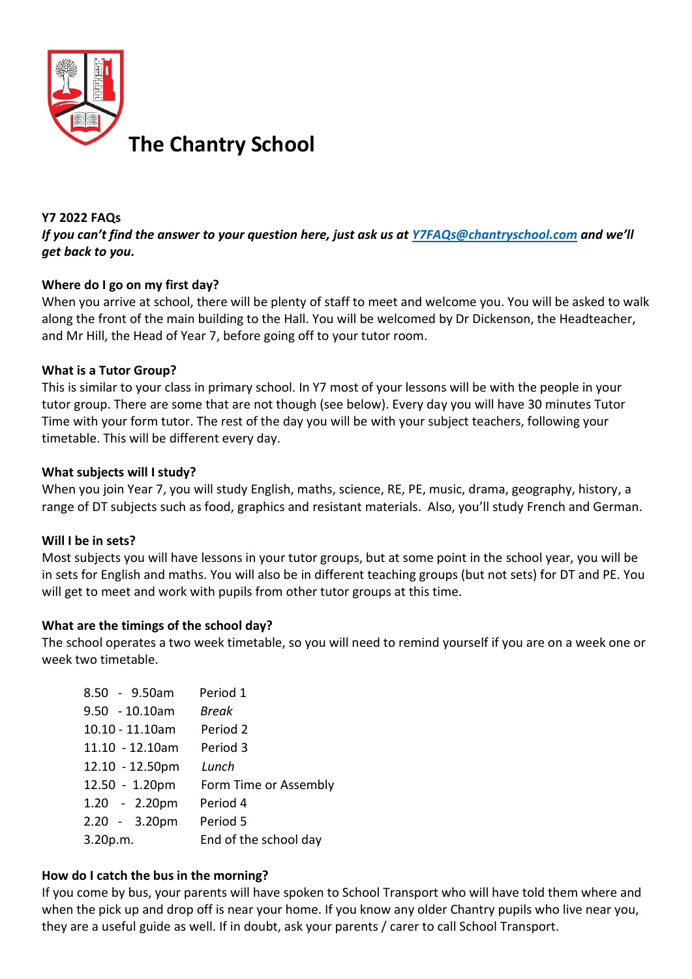

#### **Y7 2022 FAQs**

*If you can't find the answer to your question here, just ask us at [Y7FAQs@chantryschool.com](mailto:Y7FAQs@chantryschool.com) and we'll get back to you.*

## **Where do I go on my first day?**

When you arrive at school, there will be plenty of staff to meet and welcome you. You will be asked to walk along the front of the main building to the Hall. You will be welcomed by Dr Dickenson, the Headteacher, and Mr Hill, the Head of Year 7, before going off to your tutor room.

## **What is a Tutor Group?**

This is similar to your class in primary school. In Y7 most of your lessons will be with the people in your tutor group. There are some that are not though (see below). Every day you will have 30 minutes Tutor Time with your form tutor. The rest of the day you will be with your subject teachers, following your timetable. This will be different every day.

#### **What subjects will I study?**

When you join Year 7, you will study English, maths, science, RE, PE, music, drama, geography, history, a range of DT subjects such as food, graphics and resistant materials. Also, you'll study French and German.

## **Will I be in sets?**

Most subjects you will have lessons in your tutor groups, but at some point in the school year, you will be in sets for English and maths. You will also be in different teaching groups (but not sets) for DT and PE. You will get to meet and work with pupils from other tutor groups at this time.

## **What are the timings of the school day?**

The school operates a two week timetable, so you will need to remind yourself if you are on a week one or week two timetable.

| 8.50 - 9.50am   | Period 1              |
|-----------------|-----------------------|
| 9.50 - 10.10am  | Break                 |
| 10.10 - 11.10am | Period 2              |
| 11.10 - 12.10am | Period 3              |
| 12.10 - 12.50pm | Lunch                 |
| 12.50 - 1.20pm  | Form Time or Assembly |
| 1.20 - 2.20pm   | Period 4              |
| 2.20 - 3.20pm   | Period 5              |
| 3.20p.m.        | End of the school day |
|                 |                       |

## **How do I catch the bus in the morning?**

If you come by bus, your parents will have spoken to School Transport who will have told them where and when the pick up and drop off is near your home. If you know any older Chantry pupils who live near you, they are a useful guide as well. If in doubt, ask your parents / carer to call School Transport.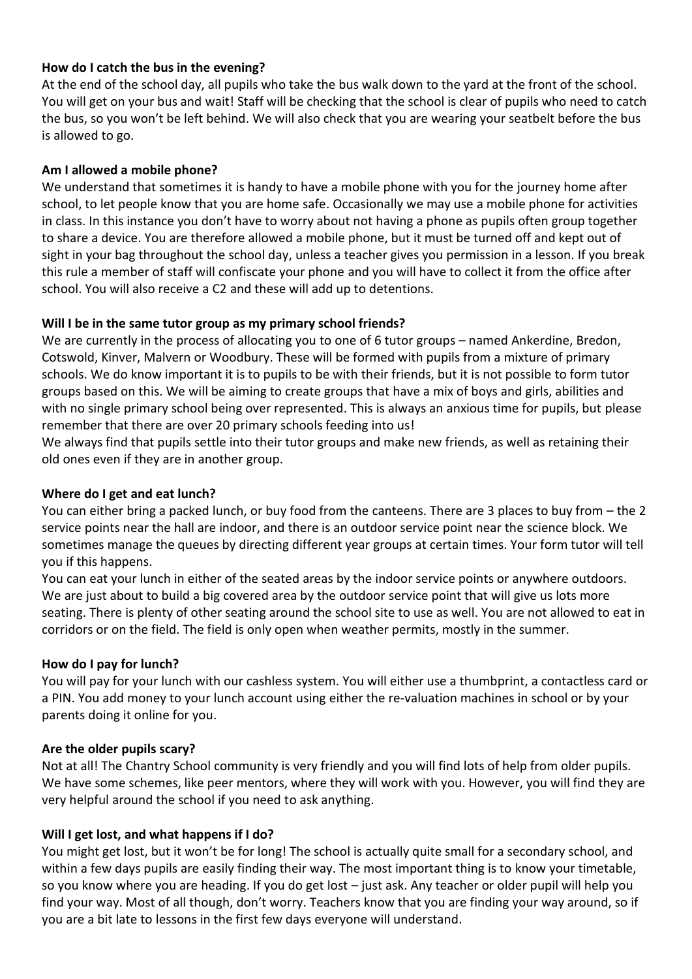## **How do I catch the bus in the evening?**

At the end of the school day, all pupils who take the bus walk down to the yard at the front of the school. You will get on your bus and wait! Staff will be checking that the school is clear of pupils who need to catch the bus, so you won't be left behind. We will also check that you are wearing your seatbelt before the bus is allowed to go.

# **Am I allowed a mobile phone?**

We understand that sometimes it is handy to have a mobile phone with you for the journey home after school, to let people know that you are home safe. Occasionally we may use a mobile phone for activities in class. In this instance you don't have to worry about not having a phone as pupils often group together to share a device. You are therefore allowed a mobile phone, but it must be turned off and kept out of sight in your bag throughout the school day, unless a teacher gives you permission in a lesson. If you break this rule a member of staff will confiscate your phone and you will have to collect it from the office after school. You will also receive a C2 and these will add up to detentions.

## **Will I be in the same tutor group as my primary school friends?**

We are currently in the process of allocating you to one of 6 tutor groups – named Ankerdine, Bredon, Cotswold, Kinver, Malvern or Woodbury. These will be formed with pupils from a mixture of primary schools. We do know important it is to pupils to be with their friends, but it is not possible to form tutor groups based on this. We will be aiming to create groups that have a mix of boys and girls, abilities and with no single primary school being over represented. This is always an anxious time for pupils, but please remember that there are over 20 primary schools feeding into us!

We always find that pupils settle into their tutor groups and make new friends, as well as retaining their old ones even if they are in another group.

## **Where do I get and eat lunch?**

You can either bring a packed lunch, or buy food from the canteens. There are 3 places to buy from – the 2 service points near the hall are indoor, and there is an outdoor service point near the science block. We sometimes manage the queues by directing different year groups at certain times. Your form tutor will tell you if this happens.

You can eat your lunch in either of the seated areas by the indoor service points or anywhere outdoors. We are just about to build a big covered area by the outdoor service point that will give us lots more seating. There is plenty of other seating around the school site to use as well. You are not allowed to eat in corridors or on the field. The field is only open when weather permits, mostly in the summer.

## **How do I pay for lunch?**

You will pay for your lunch with our cashless system. You will either use a thumbprint, a contactless card or a PIN. You add money to your lunch account using either the re-valuation machines in school or by your parents doing it online for you.

## **Are the older pupils scary?**

Not at all! The Chantry School community is very friendly and you will find lots of help from older pupils. We have some schemes, like peer mentors, where they will work with you. However, you will find they are very helpful around the school if you need to ask anything.

# **Will I get lost, and what happens if I do?**

You might get lost, but it won't be for long! The school is actually quite small for a secondary school, and within a few days pupils are easily finding their way. The most important thing is to know your timetable, so you know where you are heading. If you do get lost – just ask. Any teacher or older pupil will help you find your way. Most of all though, don't worry. Teachers know that you are finding your way around, so if you are a bit late to lessons in the first few days everyone will understand.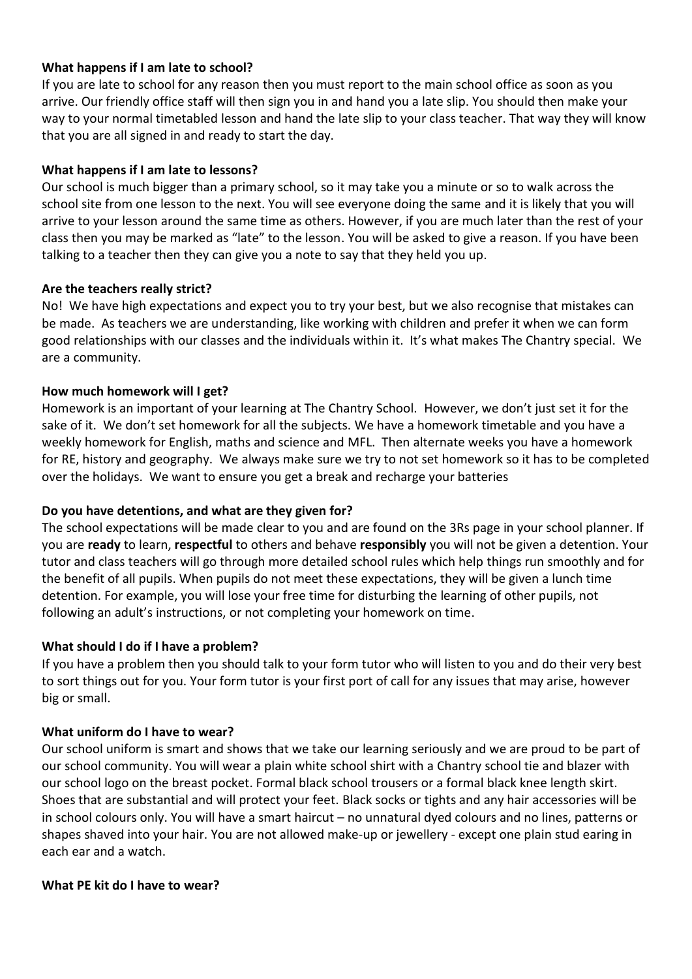## **What happens if I am late to school?**

If you are late to school for any reason then you must report to the main school office as soon as you arrive. Our friendly office staff will then sign you in and hand you a late slip. You should then make your way to your normal timetabled lesson and hand the late slip to your class teacher. That way they will know that you are all signed in and ready to start the day.

#### **What happens if I am late to lessons?**

Our school is much bigger than a primary school, so it may take you a minute or so to walk across the school site from one lesson to the next. You will see everyone doing the same and it is likely that you will arrive to your lesson around the same time as others. However, if you are much later than the rest of your class then you may be marked as "late" to the lesson. You will be asked to give a reason. If you have been talking to a teacher then they can give you a note to say that they held you up.

#### **Are the teachers really strict?**

No! We have high expectations and expect you to try your best, but we also recognise that mistakes can be made. As teachers we are understanding, like working with children and prefer it when we can form good relationships with our classes and the individuals within it. It's what makes The Chantry special. We are a community.

#### **How much homework will I get?**

Homework is an important of your learning at The Chantry School. However, we don't just set it for the sake of it. We don't set homework for all the subjects. We have a homework timetable and you have a weekly homework for English, maths and science and MFL. Then alternate weeks you have a homework for RE, history and geography. We always make sure we try to not set homework so it has to be completed over the holidays. We want to ensure you get a break and recharge your batteries

#### **Do you have detentions, and what are they given for?**

The school expectations will be made clear to you and are found on the 3Rs page in your school planner. If you are **ready** to learn, **respectful** to others and behave **responsibly** you will not be given a detention. Your tutor and class teachers will go through more detailed school rules which help things run smoothly and for the benefit of all pupils. When pupils do not meet these expectations, they will be given a lunch time detention. For example, you will lose your free time for disturbing the learning of other pupils, not following an adult's instructions, or not completing your homework on time.

#### **What should I do if I have a problem?**

If you have a problem then you should talk to your form tutor who will listen to you and do their very best to sort things out for you. Your form tutor is your first port of call for any issues that may arise, however big or small.

#### **What uniform do I have to wear?**

Our school uniform is smart and shows that we take our learning seriously and we are proud to be part of our school community. You will wear a plain white school shirt with a Chantry school tie and blazer with our school logo on the breast pocket. Formal black school trousers or a formal black knee length skirt. Shoes that are substantial and will protect your feet. Black socks or tights and any hair accessories will be in school colours only. You will have a smart haircut – no unnatural dyed colours and no lines, patterns or shapes shaved into your hair. You are not allowed make-up or jewellery - except one plain stud earing in each ear and a watch.

#### **What PE kit do I have to wear?**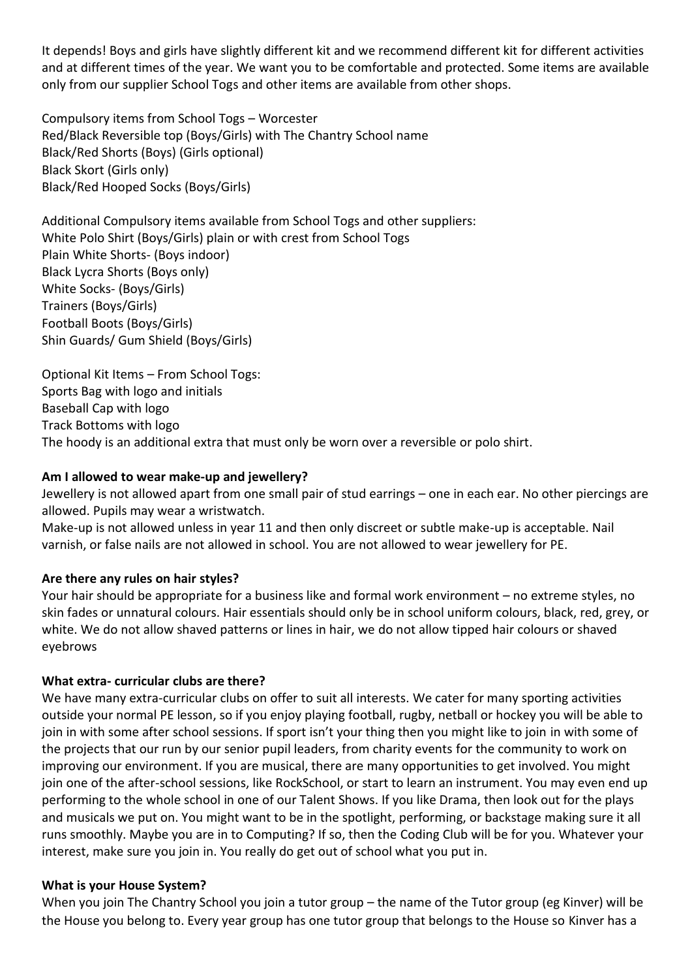It depends! Boys and girls have slightly different kit and we recommend different kit for different activities and at different times of the year. We want you to be comfortable and protected. Some items are available only from our supplier School Togs and other items are available from other shops.

Compulsory items from School Togs – Worcester Red/Black Reversible top (Boys/Girls) with The Chantry School name Black/Red Shorts (Boys) (Girls optional) Black Skort (Girls only) Black/Red Hooped Socks (Boys/Girls)

Additional Compulsory items available from School Togs and other suppliers: White Polo Shirt (Boys/Girls) plain or with crest from School Togs Plain White Shorts- (Boys indoor) Black Lycra Shorts (Boys only) White Socks- (Boys/Girls) Trainers (Boys/Girls) Football Boots (Boys/Girls) Shin Guards/ Gum Shield (Boys/Girls)

Optional Kit Items – From School Togs: Sports Bag with logo and initials Baseball Cap with logo Track Bottoms with logo The hoody is an additional extra that must only be worn over a reversible or polo shirt.

## **Am I allowed to wear make-up and jewellery?**

Jewellery is not allowed apart from one small pair of stud earrings – one in each ear. No other piercings are allowed. Pupils may wear a wristwatch.

Make-up is not allowed unless in year 11 and then only discreet or subtle make-up is acceptable. Nail varnish, or false nails are not allowed in school. You are not allowed to wear jewellery for PE.

## **Are there any rules on hair styles?**

Your hair should be appropriate for a business like and formal work environment – no extreme styles, no skin fades or unnatural colours. Hair essentials should only be in school uniform colours, black, red, grey, or white. We do not allow shaved patterns or lines in hair, we do not allow tipped hair colours or shaved eyebrows

## **What extra- curricular clubs are there?**

We have many extra-curricular clubs on offer to suit all interests. We cater for many sporting activities outside your normal PE lesson, so if you enjoy playing football, rugby, netball or hockey you will be able to join in with some after school sessions. If sport isn't your thing then you might like to join in with some of the projects that our run by our senior pupil leaders, from charity events for the community to work on improving our environment. If you are musical, there are many opportunities to get involved. You might join one of the after-school sessions, like RockSchool, or start to learn an instrument. You may even end up performing to the whole school in one of our Talent Shows. If you like Drama, then look out for the plays and musicals we put on. You might want to be in the spotlight, performing, or backstage making sure it all runs smoothly. Maybe you are in to Computing? If so, then the Coding Club will be for you. Whatever your interest, make sure you join in. You really do get out of school what you put in.

## **What is your House System?**

When you join The Chantry School you join a tutor group – the name of the Tutor group (eg Kinver) will be the House you belong to. Every year group has one tutor group that belongs to the House so Kinver has a